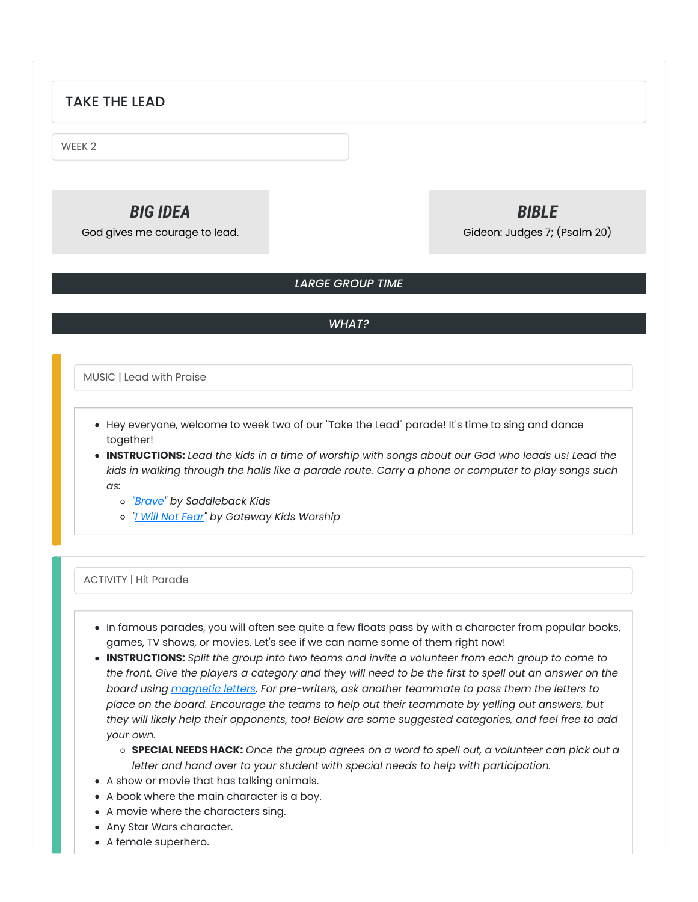### TAKE THE LEAD

WEEK 2

# *BIG IDEA*

God gives me courage to lead.

## *BIBLE*

Gideon: Judges 7; (Psalm 20)

### *LARGE GROUP TIME*

### *WHAT?*

MUSIC | Lead with Praise

- Hey everyone, welcome to week two of our "Take the Lead" parade! It's time to sing and dance together!
- . INSTRUCTIONS: Lead the kids in a time of worship with songs about our God who leads us! Lead the kids in walking through the halls like a parade route. Carry a phone or computer to play songs such *as:*
	- *["Brave](https://youtu.be/fCC9fGnHH4I)" by Saddleback Kids*
	- *"I Will Not [Fear](https://youtu.be/k6dJaOGuqhQ)" by Gateway Kids Worship*

### ACTIVITY | Hit Parade

- In famous parades, you will often see quite a few floats pass by with a character from popular books, games, TV shows, or movies. Let's see if we can name some of them right now!
- **INSTRUCTIONS:** *Split the group into two teams and invite a volunteer from each group to come to* the front. Give the players a category and they will need to be the first to spell out an answer on the *board using [magnetic](https://amzn.to/34NAzZq) letters. For pre-writers, ask another teammate to pass them the letters to place on the board. Encourage the teams to help out their teammate by yelling out answers, but they will likely help their opponents, too! Below are some suggested categories, and feel free to add your own.*
	- o SPECIAL NEEDS HACK: Once the group agrees on a word to spell out, a volunteer can pick out a *letter and hand over to your student with special needs to help with participation.*
- A show or movie that has talking animals.
- A book where the main character is a boy.
- A movie where the characters sing.
- Any Star Wars character.
- A female superhero.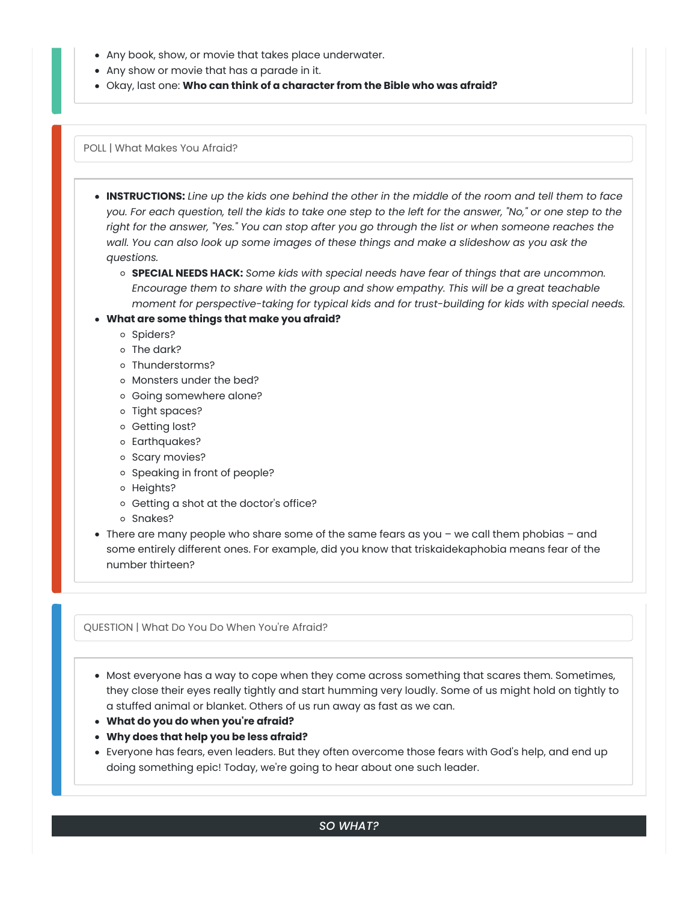- Any book, show, or movie that takes place underwater.
- Any show or movie that has a parade in it.
- Okay, last one: **Who can think of a character from the Bible who was afraid?**

POLL | What Makes You Afraid?

- . INSTRUCTIONS: Line up the kids one behind the other in the middle of the room and tell them to face you. For each question, tell the kids to take one step to the left for the answer, "No," or one step to the right for the answer, "Yes." You can stop after you go through the list or when someone reaches the *wall. You can also look up some images of these things and make a slideshow as you ask the questions.*
	- **SPECIAL NEEDS HACK:** *Some kids with special needs have fear of things that are uncommon. Encourage them to share with the group and show empathy. This will be a great teachable moment for perspective-taking for typical kids and for trust-building for kids with special needs.*

### **What are some things that make you afraid?**

- o Spiders?
- o The dark?
- o Thunderstorms?
- o Monsters under the bed?
- Going somewhere alone?
- o Tight spaces?
- o Getting lost?
- Earthquakes?
- o Scary movies?
- o Speaking in front of people?
- o Heights?
- o Getting a shot at the doctor's office?
- o Snakes?
- There are many people who share some of the same fears as you we call them phobias and some entirely different ones. For example, did you know that triskaidekaphobia means fear of the number thirteen?

QUESTION | What Do You Do When You're Afraid?

Most everyone has a way to cope when they come across something that scares them. Sometimes, they close their eyes really tightly and start humming very loudly. Some of us might hold on tightly to a stuffed animal or blanket. Others of us run away as fast as we can.

- **What do you do when you're afraid?**
- **Why does that help you be less afraid?**
- Everyone has fears, even leaders. But they often overcome those fears with God's help, and end up doing something epic! Today, we're going to hear about one such leader.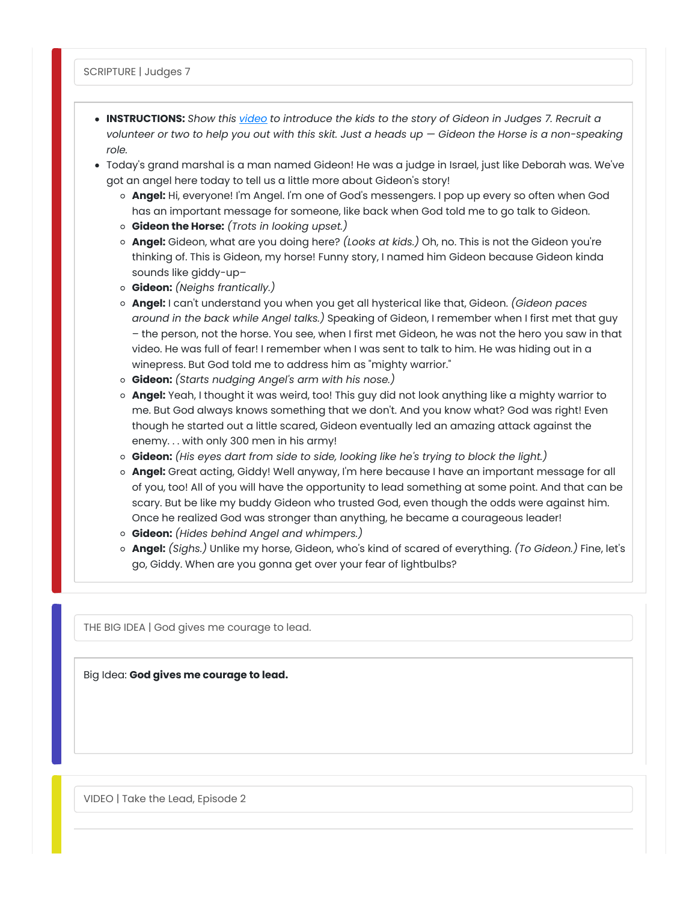- **INSTRUCTIONS:** *Show this [video](https://youtu.be/c3CDZjpkDKU) to introduce the kids to the story of Gideon in Judges 7. Recruit a* volunteer or two to help you out with this skit. Just a heads up  $-$  Gideon the Horse is a non-speaking *role.*
- Today's grand marshal is a man named Gideon! He was a judge in Israel, just like Deborah was. We've got an angel here today to tell us a little more about Gideon's story!
	- **Angel:** Hi, everyone! I'm Angel. I'm one of God's messengers. I pop up every so often when God has an important message for someone, like back when God told me to go talk to Gideon.
	- **Gideon the Horse:** *(Trots in looking upset.)*
	- **Angel:** Gideon, what are you doing here? *(Looks at kids.)* Oh, no. This is not the Gideon you're thinking of. This is Gideon, my horse! Funny story, I named him Gideon because Gideon kinda sounds like giddy-up–
	- **Gideon:** *(Neighs frantically.)*
	- **Angel:** I can't understand you when you get all hysterical like that, Gideon. *(Gideon paces around in the back while Angel talks.)* Speaking of Gideon, I remember when I first met that guy – the person, not the horse. You see, when I first met Gideon, he was not the hero you saw in that video. He was full of fear! I remember when I was sent to talk to him. He was hiding out in a winepress. But God told me to address him as "mighty warrior."
	- **Gideon:** *(Starts nudging Angel's arm with his nose.)*
	- **Angel:** Yeah, I thought it was weird, too! This guy did not look anything like a mighty warrior to me. But God always knows something that we don't. And you know what? God was right! Even though he started out a little scared, Gideon eventually led an amazing attack against the enemy. . . with only 300 men in his army!
	- **Gideon:** *(His eyes dart from side to side, looking like he's trying to block the light.)*
	- **Angel:** Great acting, Giddy! Well anyway, I'm here because I have an important message for all of you, too! All of you will have the opportunity to lead something at some point. And that can be scary. But be like my buddy Gideon who trusted God, even though the odds were against him. Once he realized God was stronger than anything, he became a courageous leader!
	- **Gideon:** *(Hides behind Angel and whimpers.)*
	- **Angel:** *(Sighs.)* Unlike my horse, Gideon, who's kind of scared of everything. *(To Gideon.)* Fine, let's go, Giddy. When are you gonna get over your fear of lightbulbs?

THE BIG IDEA | God gives me courage to lead.

Big Idea: **God gives me courage to lead.**

VIDEO | Take the Lead, Episode 2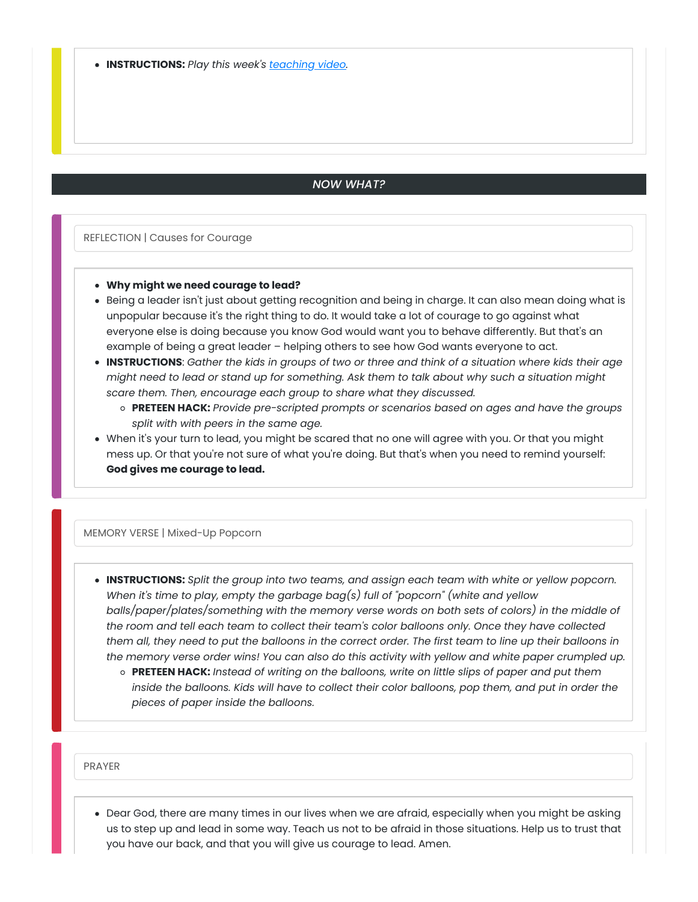### *NOW WHAT?*

REFLECTION | Causes for Courage

#### **Why might we need courage to lead?**

- Being a leader isn't just about getting recognition and being in charge. It can also mean doing what is unpopular because it's the right thing to do. It would take a lot of courage to go against what everyone else is doing because you know God would want you to behave differently. But that's an example of being a great leader – helping others to see how God wants everyone to act.
- . INSTRUCTIONS: Gather the kids in groups of two or three and think of a situation where kids their age might need to lead or stand up for something. Ask them to talk about why such a situation might *scare them. Then, encourage each group to share what they discussed.*
	- **PRETEEN HACK:** *Provide pre-scripted prompts or scenarios based on ages and have the groups split with with peers in the same age.*
- When it's your turn to lead, you might be scared that no one will agree with you. Or that you might mess up. Or that you're not sure of what you're doing. But that's when you need to remind yourself: **God gives me courage to lead.**

### MEMORY VERSE | Mixed-Up Popcorn

- **INSTRUCTIONS:** *Split the group into two teams, and assign each team with white or yellow popcorn. When it's time to play, empty the garbage bag(s) full of "popcorn" (white and yellow balls/paper/plates/something with the memory verse words on both sets of colors) in the middle of the room and tell each team to collect their team's color balloons only. Once they have collected* them all, they need to put the balloons in the correct order. The first team to line up their balloons in the memory verse order wins! You can also do this activity with yellow and white paper crumpled up.
	- **PRETEEN HACK:** *Instead of writing on the balloons, write on little slips of paper and put them* inside the balloons. Kids will have to collect their color balloons, pop them, and put in order the *pieces of paper inside the balloons.*

PRAYER

Dear God, there are many times in our lives when we are afraid, especially when you might be asking us to step up and lead in some way. Teach us not to be afraid in those situations. Help us to trust that you have our back, and that you will give us courage to lead. Amen.